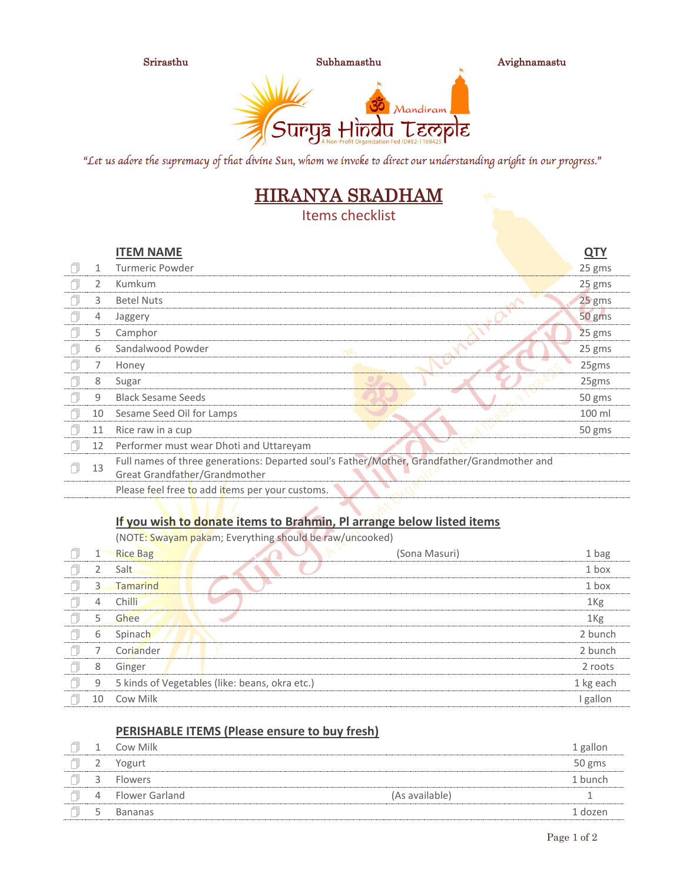

"Let us adore the supremacy of that divine Sun, whom we invoke to direct our understanding aright in our progress."

# HIRANYA SRADHAM

Items checklist

|   |    | <b>ITEM NAME</b>                                                                                                             | <u>QTY</u> |  |
|---|----|------------------------------------------------------------------------------------------------------------------------------|------------|--|
| ı | 1  | Turmeric Powder                                                                                                              | 25 gms     |  |
|   |    | Kumkum                                                                                                                       | 25 gms     |  |
|   | 3  | <b>Betel Nuts</b>                                                                                                            | 25 gms     |  |
|   | 4  | Jaggery                                                                                                                      | 50 gms     |  |
|   | 5  | Camphor                                                                                                                      | 25 gms     |  |
|   | 6  | Sandalwood Powder                                                                                                            | 25 gms     |  |
|   |    | Honey                                                                                                                        | 25gms      |  |
|   | 8  | Sugar                                                                                                                        | 25gms      |  |
|   | 9  | <b>Black Sesame Seeds</b>                                                                                                    | 50 gms     |  |
|   | 10 | Sesame Seed Oil for Lamps                                                                                                    | 100 ml     |  |
|   | 11 | Rice raw in a cup                                                                                                            | 50 gms     |  |
|   | 12 | Performer must wear Dhoti and Uttareyam                                                                                      |            |  |
|   | 13 | Full names of three generations: Departed soul's Father/Mother, Grandfather/Grandmother and<br>Great Grandfather/Grandmother |            |  |
|   |    | Please feel free to add items per your customs.                                                                              |            |  |

### **If you wish to donate items to Brahmin, Pl arrange below listed items**

(NOTE: Swayam pakam; Everything should be raw/uncooked)

|    | <b>Rice Bag</b>                                | (Sona Masuri) | 1 bag           |
|----|------------------------------------------------|---------------|-----------------|
|    | Salt                                           |               | 1 box           |
| 3  | <b>Tamarind</b>                                |               | 1 box           |
| 4  | Chilli                                         |               | 1 <sub>Kg</sub> |
| 5  | Ghee                                           |               | 1 <sub>Kg</sub> |
| 6  | Spinach                                        |               | 2 bunch         |
|    | Coriander                                      |               | 2 bunch         |
| 8  | Ginger                                         |               | 2 roots         |
| 9  | 5 kinds of Vegetables (like: beans, okra etc.) |               | 1 kg each       |
| 10 | Cow Milk                                       |               | I gallon        |

### **PERISHABLE ITEMS (Please ensure to buy fresh)**

|   | Cow Milk       |                | 1 gallon |
|---|----------------|----------------|----------|
| ∸ | Yogurt         |                | 50 gms   |
| ≺ | <b>Flowers</b> |                | 1 bunch  |
| 4 | Flower Garland | (As available) |          |
| ∽ | Bananas        |                | 1 dozen  |